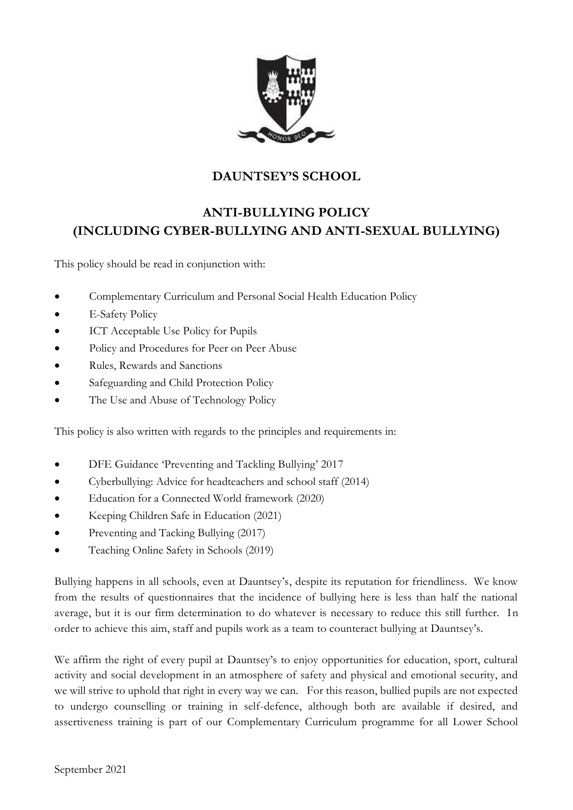

# **DAUNTSEY'S SCHOOL**

# **ANTI-BULLYING POLICY (INCLUDING CYBER-BULLYING AND ANTI-SEXUAL BULLYING)**

This policy should be read in conjunction with:

- Complementary Curriculum and Personal Social Health Education Policy
- E-Safety Policy
- ICT Acceptable Use Policy for Pupils
- Policy and Procedures for Peer on Peer Abuse
- Rules, Rewards and Sanctions
- Safeguarding and Child Protection Policy
- The Use and Abuse of Technology Policy

This policy is also written with regards to the principles and requirements in:

- DFE Guidance 'Preventing and Tackling Bullying' 2017
- Cyberbullying: Advice for headteachers and school staff (2014)
- Education for a Connected World framework (2020)
- Keeping Children Safe in Education (2021)
- Preventing and Tacking Bullying (2017)
- Teaching Online Safety in Schools (2019)

Bullying happens in all schools, even at Dauntsey's, despite its reputation for friendliness. We know from the results of questionnaires that the incidence of bullying here is less than half the national average, but it is our firm determination to do whatever is necessary to reduce this still further. In order to achieve this aim, staff and pupils work as a team to counteract bullying at Dauntsey's.

We affirm the right of every pupil at Dauntsey's to enjoy opportunities for education, sport, cultural activity and social development in an atmosphere of safety and physical and emotional security, and we will strive to uphold that right in every way we can. For this reason, bullied pupils are not expected to undergo counselling or training in self-defence, although both are available if desired, and assertiveness training is part of our Complementary Curriculum programme for all Lower School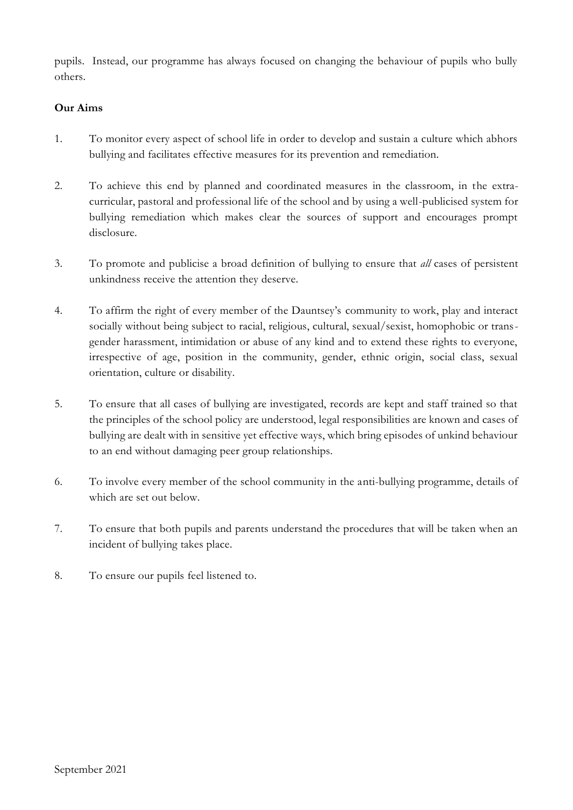pupils. Instead, our programme has always focused on changing the behaviour of pupils who bully others.

#### **Our Aims**

- 1. To monitor every aspect of school life in order to develop and sustain a culture which abhors bullying and facilitates effective measures for its prevention and remediation.
- 2. To achieve this end by planned and coordinated measures in the classroom, in the extracurricular, pastoral and professional life of the school and by using a well-publicised system for bullying remediation which makes clear the sources of support and encourages prompt disclosure.
- 3. To promote and publicise a broad definition of bullying to ensure that *all* cases of persistent unkindness receive the attention they deserve.
- 4. To affirm the right of every member of the Dauntsey's community to work, play and interact socially without being subject to racial, religious, cultural, sexual/sexist, homophobic or transgender harassment, intimidation or abuse of any kind and to extend these rights to everyone, irrespective of age, position in the community, gender, ethnic origin, social class, sexual orientation, culture or disability.
- 5. To ensure that all cases of bullying are investigated, records are kept and staff trained so that the principles of the school policy are understood, legal responsibilities are known and cases of bullying are dealt with in sensitive yet effective ways, which bring episodes of unkind behaviour to an end without damaging peer group relationships.
- 6. To involve every member of the school community in the anti-bullying programme, details of which are set out below.
- 7. To ensure that both pupils and parents understand the procedures that will be taken when an incident of bullying takes place.
- 8. To ensure our pupils feel listened to.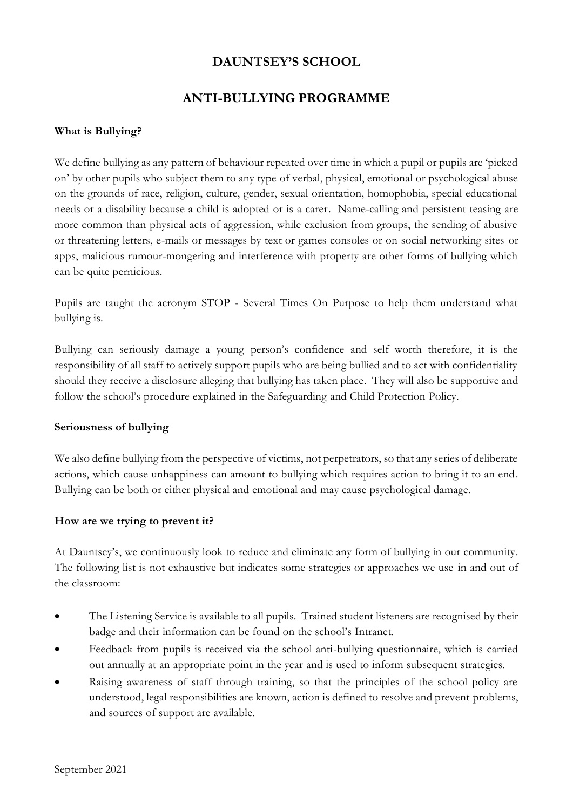## **DAUNTSEY'S SCHOOL**

## **ANTI-BULLYING PROGRAMME**

#### **What is Bullying?**

We define bullying as any pattern of behaviour repeated over time in which a pupil or pupils are 'picked on' by other pupils who subject them to any type of verbal, physical, emotional or psychological abuse on the grounds of race, religion, culture, gender, sexual orientation, homophobia, special educational needs or a disability because a child is adopted or is a carer. Name-calling and persistent teasing are more common than physical acts of aggression, while exclusion from groups, the sending of abusive or threatening letters, e-mails or messages by text or games consoles or on social networking sites or apps, malicious rumour-mongering and interference with property are other forms of bullying which can be quite pernicious.

Pupils are taught the acronym STOP - Several Times On Purpose to help them understand what bullying is.

Bullying can seriously damage a young person's confidence and self worth therefore, it is the responsibility of all staff to actively support pupils who are being bullied and to act with confidentiality should they receive a disclosure alleging that bullying has taken place. They will also be supportive and follow the school's procedure explained in the Safeguarding and Child Protection Policy.

#### **Seriousness of bullying**

We also define bullying from the perspective of victims, not perpetrators, so that any series of deliberate actions, which cause unhappiness can amount to bullying which requires action to bring it to an end. Bullying can be both or either physical and emotional and may cause psychological damage.

#### **How are we trying to prevent it?**

At Dauntsey's, we continuously look to reduce and eliminate any form of bullying in our community. The following list is not exhaustive but indicates some strategies or approaches we use in and out of the classroom:

- The Listening Service is available to all pupils. Trained student listeners are recognised by their badge and their information can be found on the school's Intranet.
- Feedback from pupils is received via the school anti-bullying questionnaire, which is carried out annually at an appropriate point in the year and is used to inform subsequent strategies.
- Raising awareness of staff through training, so that the principles of the school policy are understood, legal responsibilities are known, action is defined to resolve and prevent problems, and sources of support are available.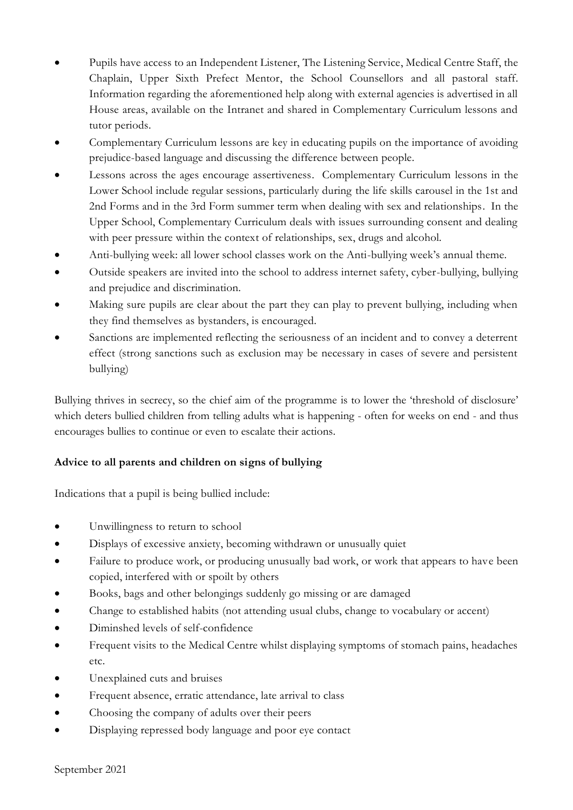- Pupils have access to an Independent Listener, The Listening Service, Medical Centre Staff, the Chaplain, Upper Sixth Prefect Mentor, the School Counsellors and all pastoral staff. Information regarding the aforementioned help along with external agencies is advertised in all House areas, available on the Intranet and shared in Complementary Curriculum lessons and tutor periods.
- Complementary Curriculum lessons are key in educating pupils on the importance of avoiding prejudice-based language and discussing the difference between people.
- Lessons across the ages encourage assertiveness. Complementary Curriculum lessons in the Lower School include regular sessions, particularly during the life skills carousel in the 1st and 2nd Forms and in the 3rd Form summer term when dealing with sex and relationships. In the Upper School, Complementary Curriculum deals with issues surrounding consent and dealing with peer pressure within the context of relationships, sex, drugs and alcohol.
- Anti-bullying week: all lower school classes work on the Anti-bullying week's annual theme.
- Outside speakers are invited into the school to address internet safety, cyber-bullying, bullying and prejudice and discrimination.
- Making sure pupils are clear about the part they can play to prevent bullying, including when they find themselves as bystanders, is encouraged.
- Sanctions are implemented reflecting the seriousness of an incident and to convey a deterrent effect (strong sanctions such as exclusion may be necessary in cases of severe and persistent bullying)

Bullying thrives in secrecy, so the chief aim of the programme is to lower the 'threshold of disclosure' which deters bullied children from telling adults what is happening - often for weeks on end - and thus encourages bullies to continue or even to escalate their actions.

## **Advice to all parents and children on signs of bullying**

Indications that a pupil is being bullied include:

- Unwillingness to return to school
- Displays of excessive anxiety, becoming withdrawn or unusually quiet
- Failure to produce work, or producing unusually bad work, or work that appears to have been copied, interfered with or spoilt by others
- Books, bags and other belongings suddenly go missing or are damaged
- Change to established habits (not attending usual clubs, change to vocabulary or accent)
- Diminshed levels of self-confidence
- Frequent visits to the Medical Centre whilst displaying symptoms of stomach pains, headaches etc.
- Unexplained cuts and bruises
- Frequent absence, erratic attendance, late arrival to class
- Choosing the company of adults over their peers
- Displaying repressed body language and poor eye contact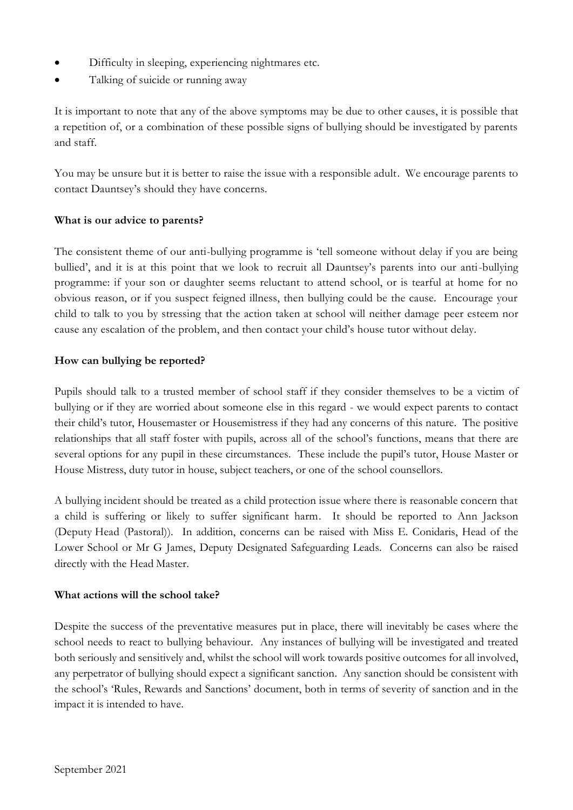- Difficulty in sleeping, experiencing nightmares etc.
- Talking of suicide or running away

It is important to note that any of the above symptoms may be due to other causes, it is possible that a repetition of, or a combination of these possible signs of bullying should be investigated by parents and staff.

You may be unsure but it is better to raise the issue with a responsible adult. We encourage parents to contact Dauntsey's should they have concerns.

### **What is our advice to parents?**

The consistent theme of our anti-bullying programme is 'tell someone without delay if you are being bullied', and it is at this point that we look to recruit all Dauntsey's parents into our anti-bullying programme: if your son or daughter seems reluctant to attend school, or is tearful at home for no obvious reason, or if you suspect feigned illness, then bullying could be the cause. Encourage your child to talk to you by stressing that the action taken at school will neither damage peer esteem nor cause any escalation of the problem, and then contact your child's house tutor without delay.

#### **How can bullying be reported?**

Pupils should talk to a trusted member of school staff if they consider themselves to be a victim of bullying or if they are worried about someone else in this regard - we would expect parents to contact their child's tutor, Housemaster or Housemistress if they had any concerns of this nature. The positive relationships that all staff foster with pupils, across all of the school's functions, means that there are several options for any pupil in these circumstances. These include the pupil's tutor, House Master or House Mistress, duty tutor in house, subject teachers, or one of the school counsellors.

A bullying incident should be treated as a child protection issue where there is reasonable concern that a child is suffering or likely to suffer significant harm. It should be reported to Ann Jackson (Deputy Head (Pastoral)). In addition, concerns can be raised with Miss E. Conidaris, Head of the Lower School or Mr G James, Deputy Designated Safeguarding Leads. Concerns can also be raised directly with the Head Master.

### **What actions will the school take?**

Despite the success of the preventative measures put in place, there will inevitably be cases where the school needs to react to bullying behaviour. Any instances of bullying will be investigated and treated both seriously and sensitively and, whilst the school will work towards positive outcomes for all involved, any perpetrator of bullying should expect a significant sanction. Any sanction should be consistent with the school's 'Rules, Rewards and Sanctions' document, both in terms of severity of sanction and in the impact it is intended to have.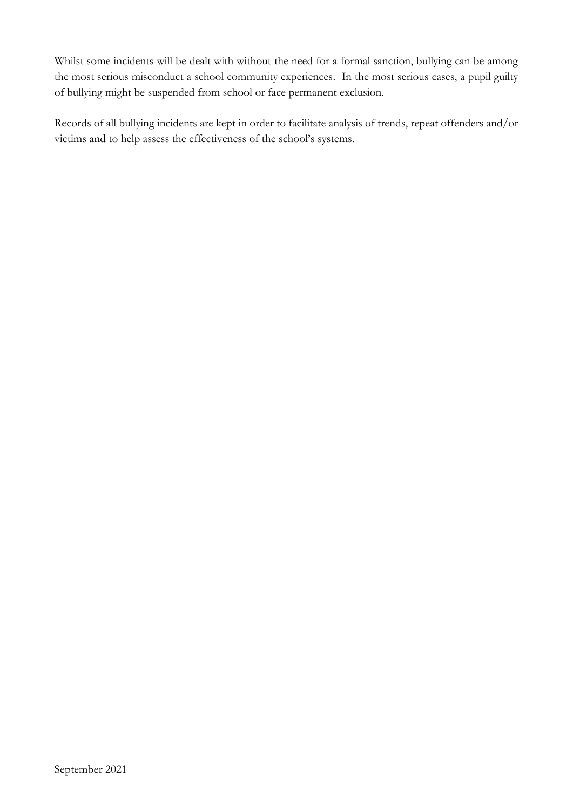Whilst some incidents will be dealt with without the need for a formal sanction, bullying can be among the most serious misconduct a school community experiences. In the most serious cases, a pupil guilty of bullying might be suspended from school or face permanent exclusion.

Records of all bullying incidents are kept in order to facilitate analysis of trends, repeat offenders and/or victims and to help assess the effectiveness of the school's systems.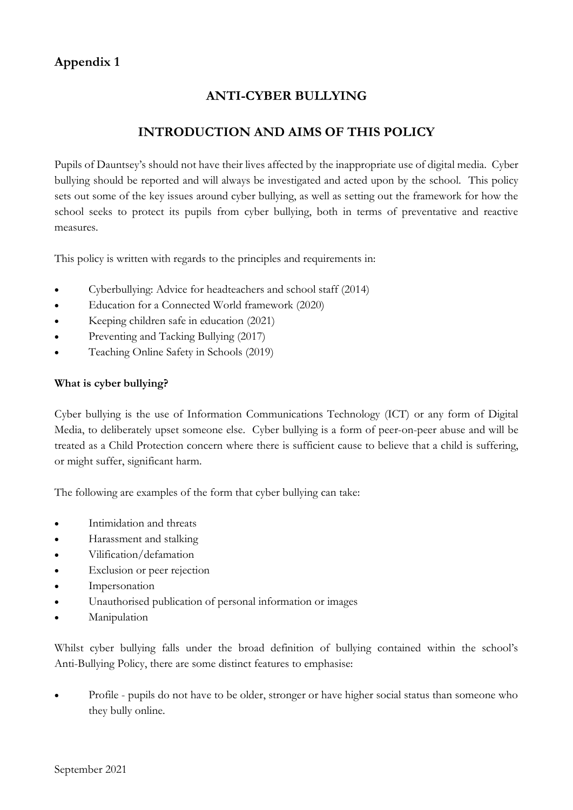# **Appendix 1**

# **ANTI-CYBER BULLYING**

# **INTRODUCTION AND AIMS OF THIS POLICY**

Pupils of Dauntsey's should not have their lives affected by the inappropriate use of digital media. Cyber bullying should be reported and will always be investigated and acted upon by the school. This policy sets out some of the key issues around cyber bullying, as well as setting out the framework for how the school seeks to protect its pupils from cyber bullying, both in terms of preventative and reactive measures.

This policy is written with regards to the principles and requirements in:

- Cyberbullying: Advice for headteachers and school staff (2014)
- Education for a Connected World framework (2020)
- Keeping children safe in education (2021)
- Preventing and Tacking Bullying (2017)
- Teaching Online Safety in Schools (2019)

### **What is cyber bullying?**

Cyber bullying is the use of Information Communications Technology (ICT) or any form of Digital Media, to deliberately upset someone else. Cyber bullying is a form of peer-on-peer abuse and will be treated as a Child Protection concern where there is sufficient cause to believe that a child is suffering, or might suffer, significant harm.

The following are examples of the form that cyber bullying can take:

- Intimidation and threats
- Harassment and stalking
- Vilification/defamation
- Exclusion or peer rejection
- **Impersonation**
- Unauthorised publication of personal information or images
- **Manipulation**

Whilst cyber bullying falls under the broad definition of bullying contained within the school's Anti-Bullying Policy, there are some distinct features to emphasise:

• Profile - pupils do not have to be older, stronger or have higher social status than someone who they bully online.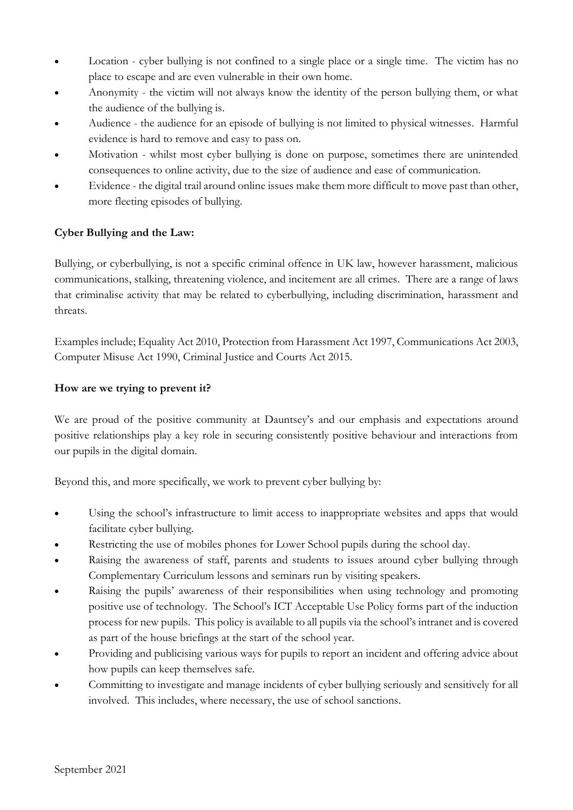- Location cyber bullying is not confined to a single place or a single time. The victim has no place to escape and are even vulnerable in their own home.
- Anonymity the victim will not always know the identity of the person bullying them, or what the audience of the bullying is.
- Audience the audience for an episode of bullying is not limited to physical witnesses. Harmful evidence is hard to remove and easy to pass on.
- Motivation whilst most cyber bullying is done on purpose, sometimes there are unintended consequences to online activity, due to the size of audience and ease of communication.
- Evidence the digital trail around online issues make them more difficult to move past than other, more fleeting episodes of bullying.

## **Cyber Bullying and the Law:**

Bullying, or cyberbullying, is not a specific criminal offence in UK law, however harassment, malicious communications, stalking, threatening violence, and incitement are all crimes. There are a range of laws that criminalise activity that may be related to cyberbullying, including discrimination, harassment and threats.

Examples include; Equality Act 2010, Protection from Harassment Act 1997, Communications Act 2003, Computer Misuse Act 1990, Criminal Justice and Courts Act 2015.

### **How are we trying to prevent it?**

We are proud of the positive community at Dauntsey's and our emphasis and expectations around positive relationships play a key role in securing consistently positive behaviour and interactions from our pupils in the digital domain.

Beyond this, and more specifically, we work to prevent cyber bullying by:

- Using the school's infrastructure to limit access to inappropriate websites and apps that would facilitate cyber bullying.
- Restricting the use of mobiles phones for Lower School pupils during the school day.
- Raising the awareness of staff, parents and students to issues around cyber bullying through Complementary Curriculum lessons and seminars run by visiting speakers.
- Raising the pupils' awareness of their responsibilities when using technology and promoting positive use of technology. The School's ICT Acceptable Use Policy forms part of the induction process for new pupils. This policy is available to all pupils via the school's intranet and is covered as part of the house briefings at the start of the school year.
- Providing and publicising various ways for pupils to report an incident and offering advice about how pupils can keep themselves safe.
- Committing to investigate and manage incidents of cyber bullying seriously and sensitively for all involved. This includes, where necessary, the use of school sanctions.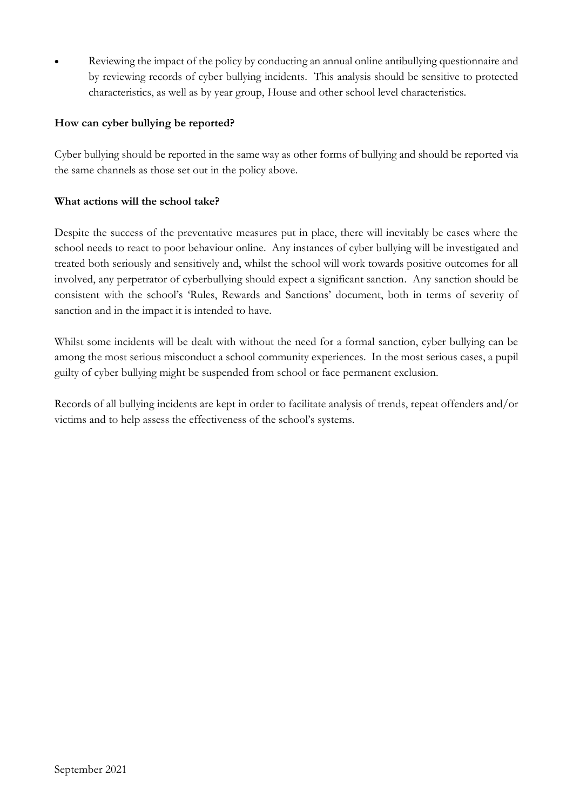• Reviewing the impact of the policy by conducting an annual online antibullying questionnaire and by reviewing records of cyber bullying incidents. This analysis should be sensitive to protected characteristics, as well as by year group, House and other school level characteristics.

### **How can cyber bullying be reported?**

Cyber bullying should be reported in the same way as other forms of bullying and should be reported via the same channels as those set out in the policy above.

### **What actions will the school take?**

Despite the success of the preventative measures put in place, there will inevitably be cases where the school needs to react to poor behaviour online. Any instances of cyber bullying will be investigated and treated both seriously and sensitively and, whilst the school will work towards positive outcomes for all involved, any perpetrator of cyberbullying should expect a significant sanction. Any sanction should be consistent with the school's 'Rules, Rewards and Sanctions' document, both in terms of severity of sanction and in the impact it is intended to have.

Whilst some incidents will be dealt with without the need for a formal sanction, cyber bullying can be among the most serious misconduct a school community experiences. In the most serious cases, a pupil guilty of cyber bullying might be suspended from school or face permanent exclusion.

Records of all bullying incidents are kept in order to facilitate analysis of trends, repeat offenders and/or victims and to help assess the effectiveness of the school's systems.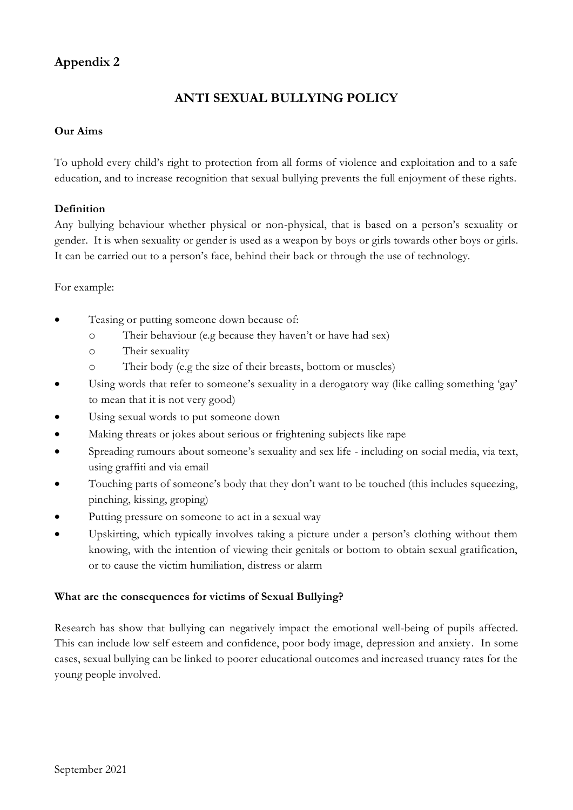# **Appendix 2**

# **ANTI SEXUAL BULLYING POLICY**

### **Our Aims**

To uphold every child's right to protection from all forms of violence and exploitation and to a safe education, and to increase recognition that sexual bullying prevents the full enjoyment of these rights.

### **Definition**

Any bullying behaviour whether physical or non-physical, that is based on a person's sexuality or gender. It is when sexuality or gender is used as a weapon by boys or girls towards other boys or girls. It can be carried out to a person's face, behind their back or through the use of technology.

#### For example:

- Teasing or putting someone down because of:
	- o Their behaviour (e.g because they haven't or have had sex)
	- o Their sexuality
	- o Their body (e.g the size of their breasts, bottom or muscles)
- Using words that refer to someone's sexuality in a derogatory way (like calling something 'gay' to mean that it is not very good)
- Using sexual words to put someone down
- Making threats or jokes about serious or frightening subjects like rape
- Spreading rumours about someone's sexuality and sex life including on social media, via text, using graffiti and via email
- Touching parts of someone's body that they don't want to be touched (this includes squeezing, pinching, kissing, groping)
- Putting pressure on someone to act in a sexual way
- Upskirting, which typically involves taking a picture under a person's clothing without them knowing, with the intention of viewing their genitals or bottom to obtain sexual gratification, or to cause the victim humiliation, distress or alarm

### **What are the consequences for victims of Sexual Bullying?**

Research has show that bullying can negatively impact the emotional well-being of pupils affected. This can include low self esteem and confidence, poor body image, depression and anxiety. In some cases, sexual bullying can be linked to poorer educational outcomes and increased truancy rates for the young people involved.